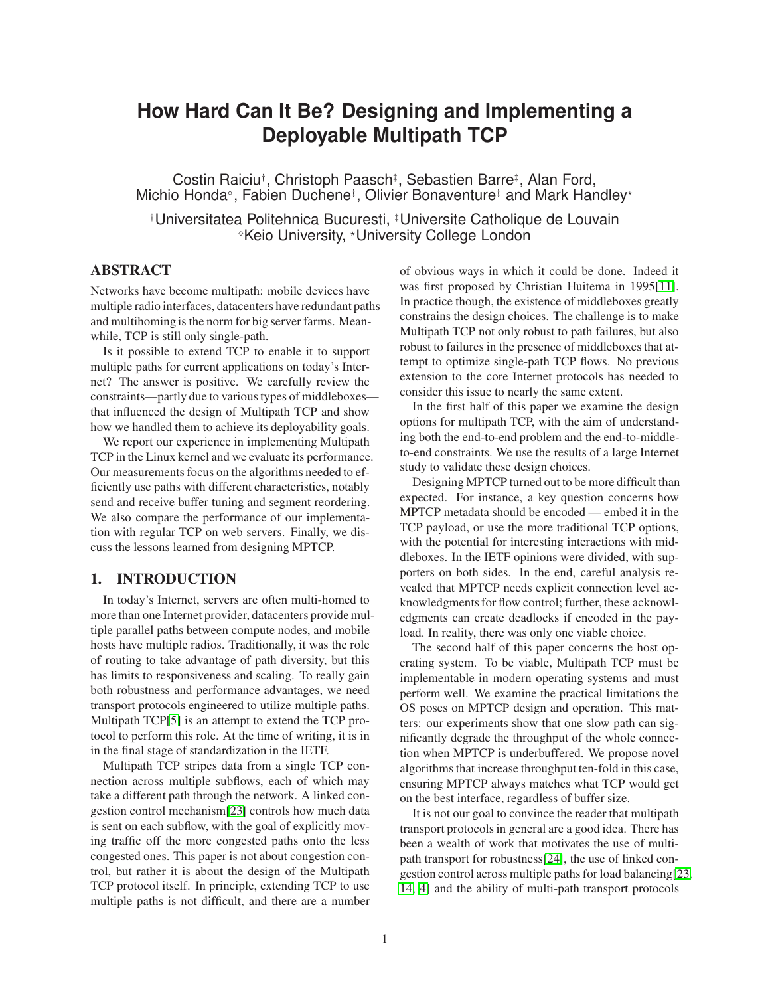# **How Hard Can It Be? Designing and Implementing a Deployable Multipath TCP**

Costin Raiciu†, Christoph Paasch‡, Sebastien Barre‡, Alan Ford, Michio Honda<sup>®</sup>, Fabien Duchene<sup>‡</sup>, Olivier Bonaventure<sup>‡</sup> and Mark Handley<sup>\*</sup>

†Universitatea Politehnica Bucuresti, ‡Universite Catholique de Louvain <sup>⋄</sup>Keio University, <sup>⋆</sup>University College London

# **ABSTRACT**

Networks have become multipath: mobile devices have multiple radio interfaces, datacenters have redundant paths and multihoming is the norm for big server farms. Meanwhile, TCP is still only single-path.

Is it possible to extend TCP to enable it to support multiple paths for current applications on today's Internet? The answer is positive. We carefully review the constraints—partly due to various types of middleboxes that influenced the design of Multipath TCP and show how we handled them to achieve its deployability goals.

We report our experience in implementing Multipath TCP in the Linux kernel and we evaluate its performance. Our measurements focus on the algorithms needed to efficiently use paths with different characteristics, notably send and receive buffer tuning and segment reordering. We also compare the performance of our implementation with regular TCP on web servers. Finally, we discuss the lessons learned from designing MPTCP.

# **1. INTRODUCTION**

In today's Internet, servers are often multi-homed to more than one Internet provider, datacenters provide multiple parallel paths between compute nodes, and mobile hosts have multiple radios. Traditionally, it was the role of routing to take advantage of path diversity, but this has limits to responsiveness and scaling. To really gain both robustness and performance advantages, we need transport protocols engineered to utilize multiple paths. Multipath TCP[\[5\]](#page-13-0) is an attempt to extend the TCP protocol to perform this role. At the time of writing, it is in in the final stage of standardization in the IETF.

Multipath TCP stripes data from a single TCP connection across multiple subflows, each of which may take a different path through the network. A linked congestion control mechanism[\[23\]](#page-13-1) controls how much data is sent on each subflow, with the goal of explicitly moving traffic off the more congested paths onto the less congested ones. This paper is not about congestion control, but rather it is about the design of the Multipath TCP protocol itself. In principle, extending TCP to use multiple paths is not difficult, and there are a number of obvious ways in which it could be done. Indeed it was first proposed by Christian Huitema in 1995[\[11\]](#page-13-2). In practice though, the existence of middleboxes greatly constrains the design choices. The challenge is to make Multipath TCP not only robust to path failures, but also robust to failures in the presence of middleboxes that attempt to optimize single-path TCP flows. No previous extension to the core Internet protocols has needed to consider this issue to nearly the same extent.

In the first half of this paper we examine the design options for multipath TCP, with the aim of understanding both the end-to-end problem and the end-to-middleto-end constraints. We use the results of a large Internet study to validate these design choices.

Designing MPTCP turned out to be more difficult than expected. For instance, a key question concerns how MPTCP metadata should be encoded — embed it in the TCP payload, or use the more traditional TCP options, with the potential for interesting interactions with middleboxes. In the IETF opinions were divided, with supporters on both sides. In the end, careful analysis revealed that MPTCP needs explicit connection level acknowledgments for flow control; further, these acknowledgments can create deadlocks if encoded in the payload. In reality, there was only one viable choice.

The second half of this paper concerns the host operating system. To be viable, Multipath TCP must be implementable in modern operating systems and must perform well. We examine the practical limitations the OS poses on MPTCP design and operation. This matters: our experiments show that one slow path can significantly degrade the throughput of the whole connection when MPTCP is underbuffered. We propose novel algorithms that increase throughput ten-fold in this case, ensuring MPTCP always matches what TCP would get on the best interface, regardless of buffer size.

It is not our goal to convince the reader that multipath transport protocols in general are a good idea. There has been a wealth of work that motivates the use of multipath transport for robustness[\[24\]](#page-13-3), the use of linked congestion control across multiple paths for load balancing[\[23,](#page-13-1) [14,](#page-13-4) [4\]](#page-13-5) and the ability of multi-path transport protocols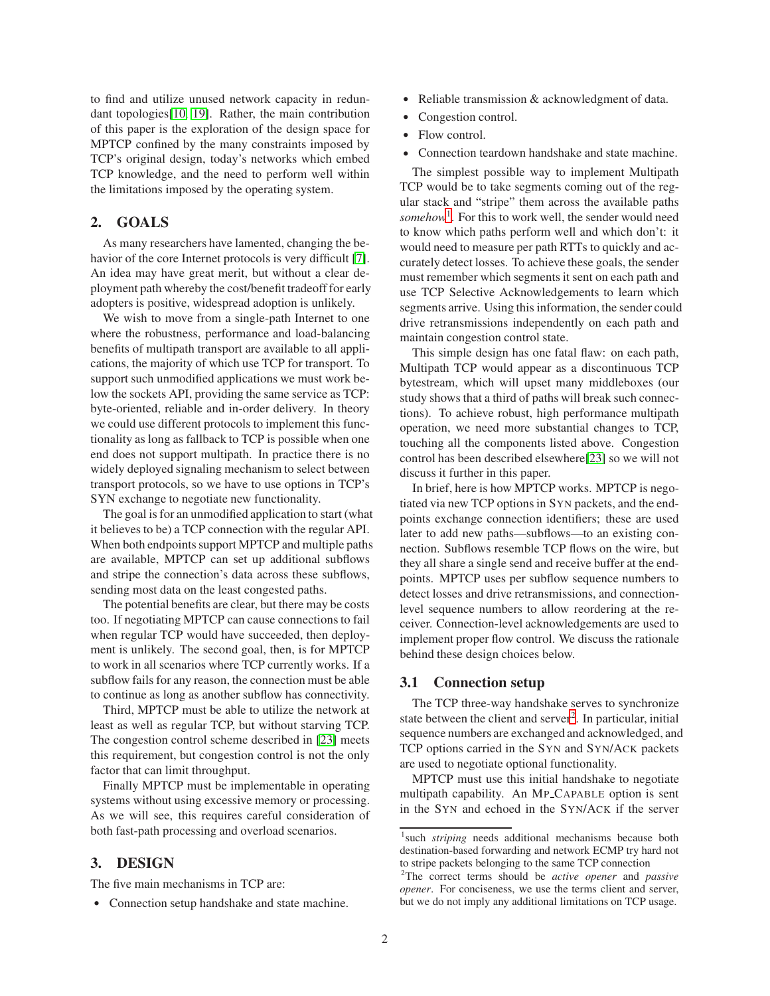to find and utilize unused network capacity in redundant topologies[\[10,](#page-13-6) [19\]](#page-13-7). Rather, the main contribution of this paper is the exploration of the design space for MPTCP confined by the many constraints imposed by TCP's original design, today's networks which embed TCP knowledge, and the need to perform well within the limitations imposed by the operating system.

# **2. GOALS**

As many researchers have lamented, changing the behavior of the core Internet protocols is very difficult [\[7\]](#page-13-8). An idea may have great merit, but without a clear deployment path whereby the cost/benefit tradeoff for early adopters is positive, widespread adoption is unlikely.

We wish to move from a single-path Internet to one where the robustness, performance and load-balancing benefits of multipath transport are available to all applications, the majority of which use TCP for transport. To support such unmodified applications we must work below the sockets API, providing the same service as TCP: byte-oriented, reliable and in-order delivery. In theory we could use different protocols to implement this functionality as long as fallback to TCP is possible when one end does not support multipath. In practice there is no widely deployed signaling mechanism to select between transport protocols, so we have to use options in TCP's SYN exchange to negotiate new functionality.

The goal is for an unmodified application to start (what it believes to be) a TCP connection with the regular API. When both endpoints support MPTCP and multiple paths are available, MPTCP can set up additional subflows and stripe the connection's data across these subflows, sending most data on the least congested paths.

The potential benefits are clear, but there may be costs too. If negotiating MPTCP can cause connections to fail when regular TCP would have succeeded, then deployment is unlikely. The second goal, then, is for MPTCP to work in all scenarios where TCP currently works. If a subflow fails for any reason, the connection must be able to continue as long as another subflow has connectivity.

Third, MPTCP must be able to utilize the network at least as well as regular TCP, but without starving TCP. The congestion control scheme described in [\[23\]](#page-13-1) meets this requirement, but congestion control is not the only factor that can limit throughput.

Finally MPTCP must be implementable in operating systems without using excessive memory or processing. As we will see, this requires careful consideration of both fast-path processing and overload scenarios.

# **3. DESIGN**

The five main mechanisms in TCP are:

• Connection setup handshake and state machine.

- Reliable transmission & acknowledgment of data.
- Congestion control.
- Flow control.
- Connection teardown handshake and state machine.

The simplest possible way to implement Multipath TCP would be to take segments coming out of the regular stack and "stripe" them across the available paths *somehow*[1](#page-1-0) . For this to work well, the sender would need to know which paths perform well and which don't: it would need to measure per path RTTs to quickly and accurately detect losses. To achieve these goals, the sender must remember which segments it sent on each path and use TCP Selective Acknowledgements to learn which segments arrive. Using this information, the sender could drive retransmissions independently on each path and maintain congestion control state.

This simple design has one fatal flaw: on each path, Multipath TCP would appear as a discontinuous TCP bytestream, which will upset many middleboxes (our study shows that a third of paths will break such connections). To achieve robust, high performance multipath operation, we need more substantial changes to TCP, touching all the components listed above. Congestion control has been described elsewhere[\[23\]](#page-13-1) so we will not discuss it further in this paper.

In brief, here is how MPTCP works. MPTCP is negotiated via new TCP options in SYN packets, and the endpoints exchange connection identifiers; these are used later to add new paths—subflows—to an existing connection. Subflows resemble TCP flows on the wire, but they all share a single send and receive buffer at the endpoints. MPTCP uses per subflow sequence numbers to detect losses and drive retransmissions, and connectionlevel sequence numbers to allow reordering at the receiver. Connection-level acknowledgements are used to implement proper flow control. We discuss the rationale behind these design choices below.

## **3.1 Connection setup**

The TCP three-way handshake serves to synchronize state between the client and server<sup>[2](#page-1-1)</sup>. In particular, initial sequence numbers are exchanged and acknowledged, and TCP options carried in the SYN and SYN/ACK packets are used to negotiate optional functionality.

MPTCP must use this initial handshake to negotiate multipath capability. An MP CAPABLE option is sent in the SYN and echoed in the SYN/ACK if the server

<span id="page-1-0"></span><sup>&</sup>lt;sup>1</sup> such *striping* needs additional mechanisms because both destination-based forwarding and network ECMP try hard not to stripe packets belonging to the same TCP connection

<span id="page-1-1"></span><sup>2</sup>The correct terms should be *active opener* and *passive opener*. For conciseness, we use the terms client and server, but we do not imply any additional limitations on TCP usage.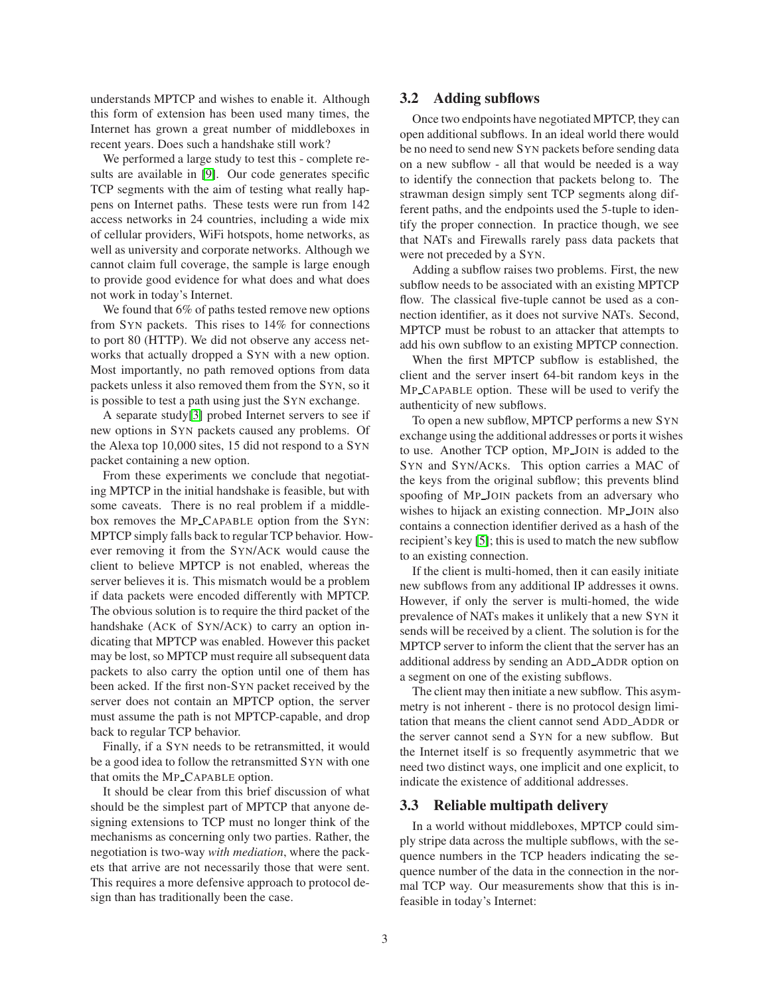understands MPTCP and wishes to enable it. Although this form of extension has been used many times, the Internet has grown a great number of middleboxes in recent years. Does such a handshake still work?

We performed a large study to test this - complete results are available in [\[9\]](#page-13-9). Our code generates specific TCP segments with the aim of testing what really happens on Internet paths. These tests were run from 142 access networks in 24 countries, including a wide mix of cellular providers, WiFi hotspots, home networks, as well as university and corporate networks. Although we cannot claim full coverage, the sample is large enough to provide good evidence for what does and what does not work in today's Internet.

We found that 6% of paths tested remove new options from SYN packets. This rises to 14% for connections to port 80 (HTTP). We did not observe any access networks that actually dropped a SYN with a new option. Most importantly, no path removed options from data packets unless it also removed them from the SYN, so it is possible to test a path using just the SYN exchange.

A separate study[\[3\]](#page-13-10) probed Internet servers to see if new options in SYN packets caused any problems. Of the Alexa top 10,000 sites, 15 did not respond to a SYN packet containing a new option.

From these experiments we conclude that negotiating MPTCP in the initial handshake is feasible, but with some caveats. There is no real problem if a middlebox removes the MP CAPABLE option from the SYN: MPTCP simply falls back to regular TCP behavior. However removing it from the SYN/ACK would cause the client to believe MPTCP is not enabled, whereas the server believes it is. This mismatch would be a problem if data packets were encoded differently with MPTCP. The obvious solution is to require the third packet of the handshake (ACK of SYN/ACK) to carry an option indicating that MPTCP was enabled. However this packet may be lost, so MPTCP must require all subsequent data packets to also carry the option until one of them has been acked. If the first non-SYN packet received by the server does not contain an MPTCP option, the server must assume the path is not MPTCP-capable, and drop back to regular TCP behavior.

Finally, if a SYN needs to be retransmitted, it would be a good idea to follow the retransmitted SYN with one that omits the MP CAPABLE option.

It should be clear from this brief discussion of what should be the simplest part of MPTCP that anyone designing extensions to TCP must no longer think of the mechanisms as concerning only two parties. Rather, the negotiation is two-way *with mediation*, where the packets that arrive are not necessarily those that were sent. This requires a more defensive approach to protocol design than has traditionally been the case.

### <span id="page-2-0"></span>**3.2 Adding subflows**

Once two endpoints have negotiated MPTCP, they can open additional subflows. In an ideal world there would be no need to send new SYN packets before sending data on a new subflow - all that would be needed is a way to identify the connection that packets belong to. The strawman design simply sent TCP segments along different paths, and the endpoints used the 5-tuple to identify the proper connection. In practice though, we see that NATs and Firewalls rarely pass data packets that were not preceded by a SYN.

Adding a subflow raises two problems. First, the new subflow needs to be associated with an existing MPTCP flow. The classical five-tuple cannot be used as a connection identifier, as it does not survive NATs. Second, MPTCP must be robust to an attacker that attempts to add his own subflow to an existing MPTCP connection.

When the first MPTCP subflow is established, the client and the server insert 64-bit random keys in the MP CAPABLE option. These will be used to verify the authenticity of new subflows.

To open a new subflow, MPTCP performs a new SYN exchange using the additional addresses or ports it wishes to use. Another TCP option, MP JOIN is added to the SYN and SYN/ACKs. This option carries a MAC of the keys from the original subflow; this prevents blind spoofing of MP JOIN packets from an adversary who wishes to hijack an existing connection. MP JOIN also contains a connection identifier derived as a hash of the recipient's key [\[5\]](#page-13-0); this is used to match the new subflow to an existing connection.

If the client is multi-homed, then it can easily initiate new subflows from any additional IP addresses it owns. However, if only the server is multi-homed, the wide prevalence of NATs makes it unlikely that a new SYN it sends will be received by a client. The solution is for the MPTCP server to inform the client that the server has an additional address by sending an ADD ADDR option on a segment on one of the existing subflows.

The client may then initiate a new subflow. This asymmetry is not inherent - there is no protocol design limitation that means the client cannot send ADD ADDR or the server cannot send a SYN for a new subflow. But the Internet itself is so frequently asymmetric that we need two distinct ways, one implicit and one explicit, to indicate the existence of additional addresses.

### **3.3 Reliable multipath delivery**

In a world without middleboxes, MPTCP could simply stripe data across the multiple subflows, with the sequence numbers in the TCP headers indicating the sequence number of the data in the connection in the normal TCP way. Our measurements show that this is infeasible in today's Internet: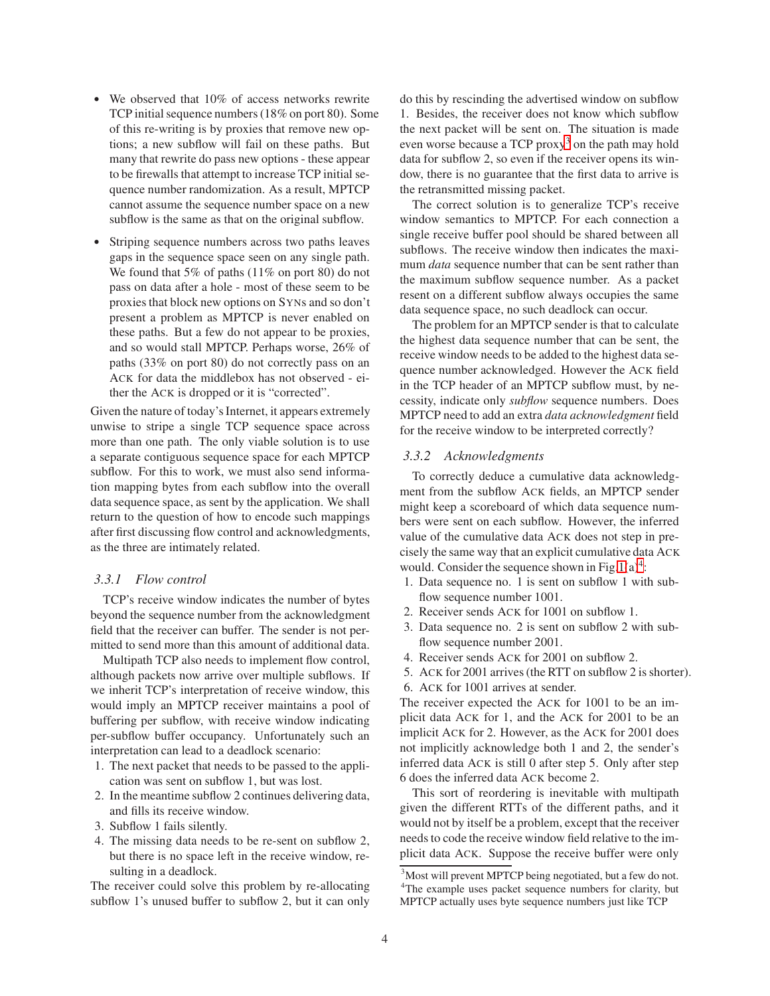- We observed that 10% of access networks rewrite TCP initial sequence numbers (18% on port 80). Some of this re-writing is by proxies that remove new options; a new subflow will fail on these paths. But many that rewrite do pass new options - these appear to be firewalls that attempt to increase TCP initial sequence number randomization. As a result, MPTCP cannot assume the sequence number space on a new subflow is the same as that on the original subflow.
- Striping sequence numbers across two paths leaves gaps in the sequence space seen on any single path. We found that 5% of paths (11% on port 80) do not pass on data after a hole - most of these seem to be proxies that block new options on SYNs and so don't present a problem as MPTCP is never enabled on these paths. But a few do not appear to be proxies, and so would stall MPTCP. Perhaps worse, 26% of paths (33% on port 80) do not correctly pass on an ACK for data the middlebox has not observed - either the ACK is dropped or it is "corrected".

Given the nature of today's Internet, it appears extremely unwise to stripe a single TCP sequence space across more than one path. The only viable solution is to use a separate contiguous sequence space for each MPTCP subflow. For this to work, we must also send information mapping bytes from each subflow into the overall data sequence space, as sent by the application. We shall return to the question of how to encode such mappings after first discussing flow control and acknowledgments, as the three are intimately related.

### *3.3.1 Flow control*

TCP's receive window indicates the number of bytes beyond the sequence number from the acknowledgment field that the receiver can buffer. The sender is not permitted to send more than this amount of additional data.

Multipath TCP also needs to implement flow control, although packets now arrive over multiple subflows. If we inherit TCP's interpretation of receive window, this would imply an MPTCP receiver maintains a pool of buffering per subflow, with receive window indicating per-subflow buffer occupancy. Unfortunately such an interpretation can lead to a deadlock scenario:

- 1. The next packet that needs to be passed to the application was sent on subflow 1, but was lost.
- 2. In the meantime subflow 2 continues delivering data, and fills its receive window.
- 3. Subflow 1 fails silently.
- 4. The missing data needs to be re-sent on subflow 2, but there is no space left in the receive window, resulting in a deadlock.

The receiver could solve this problem by re-allocating subflow 1's unused buffer to subflow 2, but it can only

do this by rescinding the advertised window on subflow 1. Besides, the receiver does not know which subflow the next packet will be sent on. The situation is made even worse because a TCP proxy[3](#page-3-0) on the path may hold data for subflow 2, so even if the receiver opens its window, there is no guarantee that the first data to arrive is the retransmitted missing packet.

The correct solution is to generalize TCP's receive window semantics to MPTCP. For each connection a single receive buffer pool should be shared between all subflows. The receive window then indicates the maximum *data* sequence number that can be sent rather than the maximum subflow sequence number. As a packet resent on a different subflow always occupies the same data sequence space, no such deadlock can occur.

The problem for an MPTCP sender is that to calculate the highest data sequence number that can be sent, the receive window needs to be added to the highest data sequence number acknowledged. However the ACK field in the TCP header of an MPTCP subflow must, by necessity, indicate only *subflow* sequence numbers. Does MPTCP need to add an extra *data acknowledgment* field for the receive window to be interpreted correctly?

#### *3.3.2 Acknowledgments*

To correctly deduce a cumulative data acknowledgment from the subflow ACK fields, an MPTCP sender might keep a scoreboard of which data sequence numbers were sent on each subflow. However, the inferred value of the cumulative data ACK does not step in precisely the same way that an explicit cumulative data ACK would. Consider the sequence shown in Fig.  $1(a)^4$  $1(a)^4$ :

- 1. Data sequence no. 1 is sent on subflow 1 with subflow sequence number 1001.
- 2. Receiver sends ACK for 1001 on subflow 1.
- 3. Data sequence no. 2 is sent on subflow 2 with subflow sequence number 2001.
- 4. Receiver sends ACK for 2001 on subflow 2.
- 5. ACK for 2001 arrives (the RTT on subflow 2 is shorter). 6. ACK for 1001 arrives at sender.

The receiver expected the ACK for 1001 to be an implicit data ACK for 1, and the ACK for 2001 to be an implicit ACK for 2. However, as the ACK for 2001 does not implicitly acknowledge both 1 and 2, the sender's inferred data ACK is still 0 after step 5. Only after step 6 does the inferred data ACK become 2.

This sort of reordering is inevitable with multipath given the different RTTs of the different paths, and it would not by itself be a problem, except that the receiver needs to code the receive window field relative to the implicit data ACK. Suppose the receive buffer were only

<span id="page-3-1"></span><span id="page-3-0"></span><sup>&</sup>lt;sup>3</sup>Most will prevent MPTCP being negotiated, but a few do not. <sup>4</sup>The example uses packet sequence numbers for clarity, but MPTCP actually uses byte sequence numbers just like TCP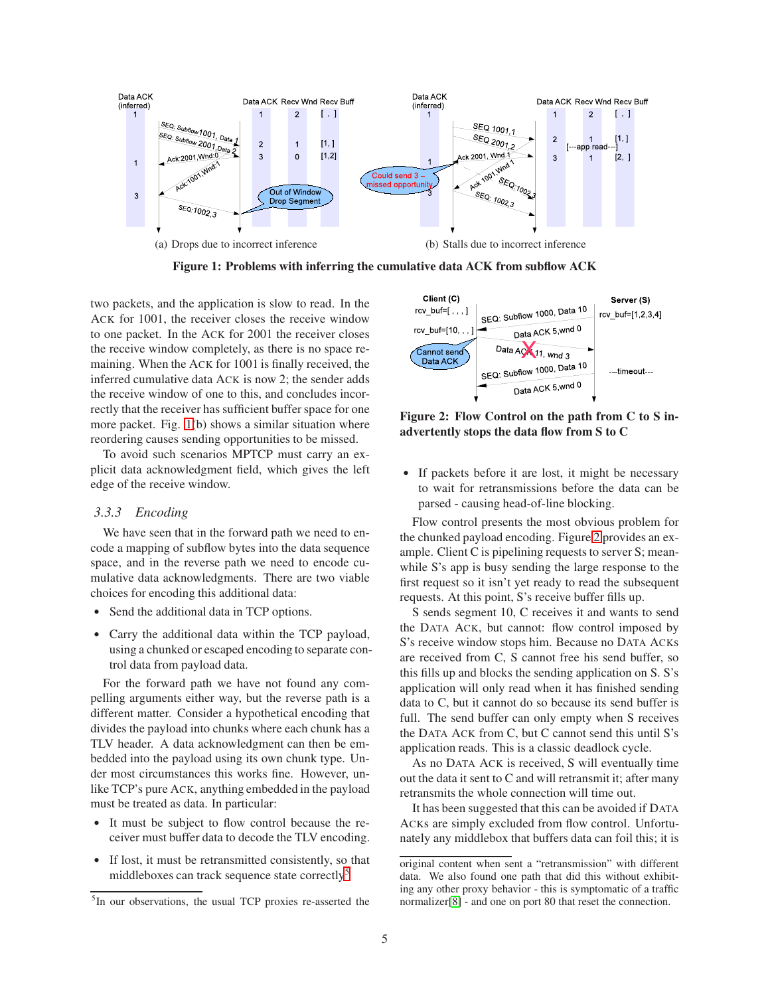

<span id="page-4-0"></span>**Figure 1: Problems with inferring the cumulative data ACK from subflow ACK**

two packets, and the application is slow to read. In the ACK for 1001, the receiver closes the receive window to one packet. In the ACK for 2001 the receiver closes the receive window completely, as there is no space remaining. When the ACK for 1001 is finally received, the inferred cumulative data ACK is now 2; the sender adds the receive window of one to this, and concludes incorrectly that the receiver has sufficient buffer space for one more packet. Fig. [1\(](#page-4-0)b) shows a similar situation where reordering causes sending opportunities to be missed.

To avoid such scenarios MPTCP must carry an explicit data acknowledgment field, which gives the left edge of the receive window.

# *3.3.3 Encoding*

We have seen that in the forward path we need to encode a mapping of subflow bytes into the data sequence space, and in the reverse path we need to encode cumulative data acknowledgments. There are two viable choices for encoding this additional data:

- Send the additional data in TCP options.
- Carry the additional data within the TCP payload, using a chunked or escaped encoding to separate control data from payload data.

For the forward path we have not found any compelling arguments either way, but the reverse path is a different matter. Consider a hypothetical encoding that divides the payload into chunks where each chunk has a TLV header. A data acknowledgment can then be embedded into the payload using its own chunk type. Under most circumstances this works fine. However, unlike TCP's pure ACK, anything embedded in the payload must be treated as data. In particular:

- It must be subject to flow control because the receiver must buffer data to decode the TLV encoding.
- If lost, it must be retransmitted consistently, so that middleboxes can track sequence state correctly<sup>[5](#page-4-1)</sup>



<span id="page-4-2"></span>**Figure 2: Flow Control on the path from C to S inadvertently stops the data flow from S to C**

• If packets before it are lost, it might be necessary to wait for retransmissions before the data can be parsed - causing head-of-line blocking.

Flow control presents the most obvious problem for the chunked payload encoding. Figure [2](#page-4-2) provides an example. Client C is pipelining requests to server S; meanwhile S's app is busy sending the large response to the first request so it isn't yet ready to read the subsequent requests. At this point, S's receive buffer fills up.

S sends segment 10, C receives it and wants to send the DATA ACK, but cannot: flow control imposed by S's receive window stops him. Because no DATA ACKs are received from C, S cannot free his send buffer, so this fills up and blocks the sending application on S. S's application will only read when it has finished sending data to C, but it cannot do so because its send buffer is full. The send buffer can only empty when S receives the DATA ACK from C, but C cannot send this until S's application reads. This is a classic deadlock cycle.

As no DATA ACK is received, S will eventually time out the data it sent to C and will retransmit it; after many retransmits the whole connection will time out.

It has been suggested that this can be avoided if DATA ACKs are simply excluded from flow control. Unfortunately any middlebox that buffers data can foil this; it is

<span id="page-4-1"></span><sup>&</sup>lt;sup>5</sup>In our observations, the usual TCP proxies re-asserted the

original content when sent a "retransmission" with different data. We also found one path that did this without exhibiting any other proxy behavior - this is symptomatic of a traffic normalizer[\[8\]](#page-13-11) - and one on port 80 that reset the connection.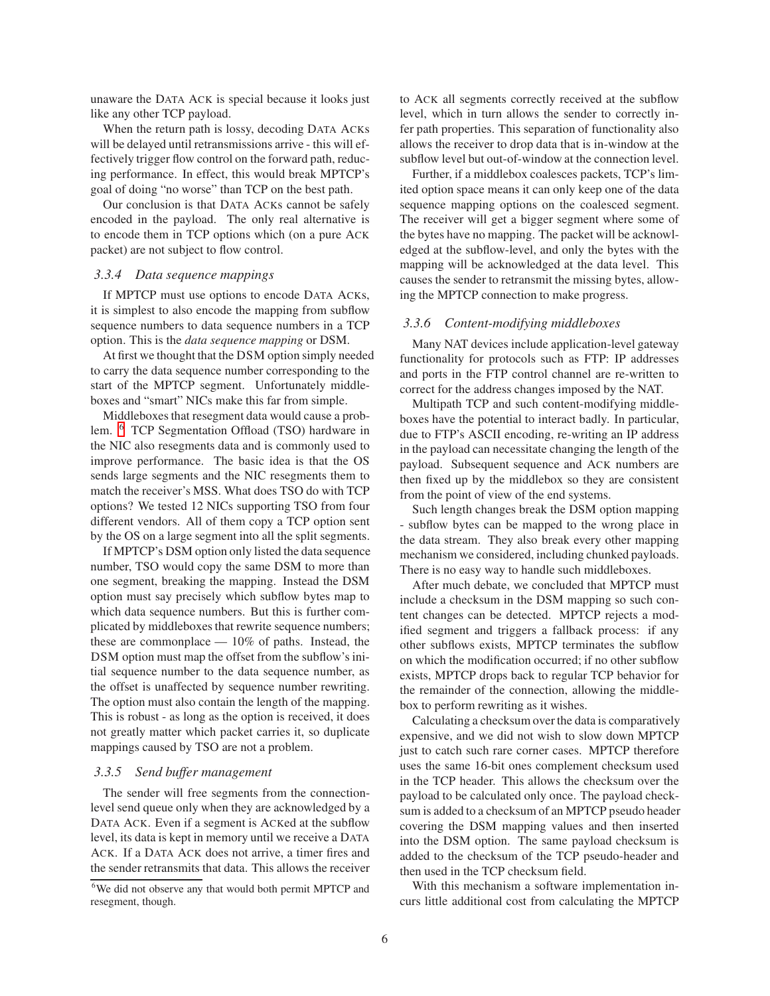unaware the DATA ACK is special because it looks just like any other TCP payload.

When the return path is lossy, decoding DATA ACKs will be delayed until retransmissions arrive - this will effectively trigger flow control on the forward path, reducing performance. In effect, this would break MPTCP's goal of doing "no worse" than TCP on the best path.

Our conclusion is that DATA ACKs cannot be safely encoded in the payload. The only real alternative is to encode them in TCP options which (on a pure ACK packet) are not subject to flow control.

### *3.3.4 Data sequence mappings*

If MPTCP must use options to encode DATA ACKs, it is simplest to also encode the mapping from subflow sequence numbers to data sequence numbers in a TCP option. This is the *data sequence mapping* or DSM.

At first we thought that the DSM option simply needed to carry the data sequence number corresponding to the start of the MPTCP segment. Unfortunately middleboxes and "smart" NICs make this far from simple.

Middleboxes that resegment data would cause a problem. [6](#page-5-0) TCP Segmentation Offload (TSO) hardware in the NIC also resegments data and is commonly used to improve performance. The basic idea is that the OS sends large segments and the NIC resegments them to match the receiver's MSS. What does TSO do with TCP options? We tested 12 NICs supporting TSO from four different vendors. All of them copy a TCP option sent by the OS on a large segment into all the split segments.

If MPTCP's DSM option only listed the data sequence number, TSO would copy the same DSM to more than one segment, breaking the mapping. Instead the DSM option must say precisely which subflow bytes map to which data sequence numbers. But this is further complicated by middleboxes that rewrite sequence numbers; these are commonplace — 10% of paths. Instead, the DSM option must map the offset from the subflow's initial sequence number to the data sequence number, as the offset is unaffected by sequence number rewriting. The option must also contain the length of the mapping. This is robust - as long as the option is received, it does not greatly matter which packet carries it, so duplicate mappings caused by TSO are not a problem.

#### *3.3.5 Send buffer management*

The sender will free segments from the connectionlevel send queue only when they are acknowledged by a DATA ACK. Even if a segment is ACKed at the subflow level, its data is kept in memory until we receive a DATA ACK. If a DATA ACK does not arrive, a timer fires and the sender retransmits that data. This allows the receiver to ACK all segments correctly received at the subflow level, which in turn allows the sender to correctly infer path properties. This separation of functionality also allows the receiver to drop data that is in-window at the subflow level but out-of-window at the connection level.

Further, if a middlebox coalesces packets, TCP's limited option space means it can only keep one of the data sequence mapping options on the coalesced segment. The receiver will get a bigger segment where some of the bytes have no mapping. The packet will be acknowledged at the subflow-level, and only the bytes with the mapping will be acknowledged at the data level. This causes the sender to retransmit the missing bytes, allowing the MPTCP connection to make progress.

#### *3.3.6 Content-modifying middleboxes*

Many NAT devices include application-level gateway functionality for protocols such as FTP: IP addresses and ports in the FTP control channel are re-written to correct for the address changes imposed by the NAT.

Multipath TCP and such content-modifying middleboxes have the potential to interact badly. In particular, due to FTP's ASCII encoding, re-writing an IP address in the payload can necessitate changing the length of the payload. Subsequent sequence and ACK numbers are then fixed up by the middlebox so they are consistent from the point of view of the end systems.

Such length changes break the DSM option mapping - subflow bytes can be mapped to the wrong place in the data stream. They also break every other mapping mechanism we considered, including chunked payloads. There is no easy way to handle such middleboxes.

After much debate, we concluded that MPTCP must include a checksum in the DSM mapping so such content changes can be detected. MPTCP rejects a modified segment and triggers a fallback process: if any other subflows exists, MPTCP terminates the subflow on which the modification occurred; if no other subflow exists, MPTCP drops back to regular TCP behavior for the remainder of the connection, allowing the middlebox to perform rewriting as it wishes.

Calculating a checksum over the data is comparatively expensive, and we did not wish to slow down MPTCP just to catch such rare corner cases. MPTCP therefore uses the same 16-bit ones complement checksum used in the TCP header. This allows the checksum over the payload to be calculated only once. The payload checksum is added to a checksum of an MPTCP pseudo header covering the DSM mapping values and then inserted into the DSM option. The same payload checksum is added to the checksum of the TCP pseudo-header and then used in the TCP checksum field.

With this mechanism a software implementation incurs little additional cost from calculating the MPTCP

<span id="page-5-0"></span><sup>6</sup>We did not observe any that would both permit MPTCP and resegment, though.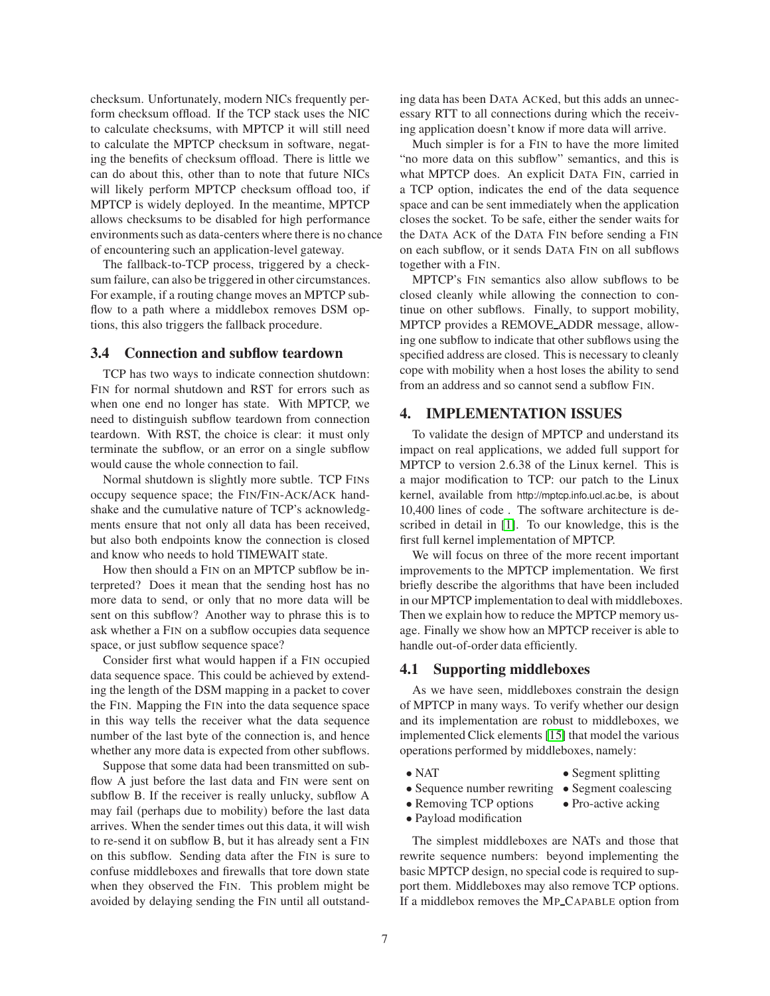checksum. Unfortunately, modern NICs frequently perform checksum offload. If the TCP stack uses the NIC to calculate checksums, with MPTCP it will still need to calculate the MPTCP checksum in software, negating the benefits of checksum offload. There is little we can do about this, other than to note that future NICs will likely perform MPTCP checksum offload too, if MPTCP is widely deployed. In the meantime, MPTCP allows checksums to be disabled for high performance environments such as data-centers where there is no chance of encountering such an application-level gateway.

The fallback-to-TCP process, triggered by a checksum failure, can also be triggered in other circumstances. For example, if a routing change moves an MPTCP subflow to a path where a middlebox removes DSM options, this also triggers the fallback procedure.

# **3.4 Connection and subflow teardown**

TCP has two ways to indicate connection shutdown: FIN for normal shutdown and RST for errors such as when one end no longer has state. With MPTCP, we need to distinguish subflow teardown from connection teardown. With RST, the choice is clear: it must only terminate the subflow, or an error on a single subflow would cause the whole connection to fail.

Normal shutdown is slightly more subtle. TCP FINs occupy sequence space; the FIN/FIN-ACK/ACK handshake and the cumulative nature of TCP's acknowledgments ensure that not only all data has been received, but also both endpoints know the connection is closed and know who needs to hold TIMEWAIT state.

How then should a FIN on an MPTCP subflow be interpreted? Does it mean that the sending host has no more data to send, or only that no more data will be sent on this subflow? Another way to phrase this is to ask whether a FIN on a subflow occupies data sequence space, or just subflow sequence space?

Consider first what would happen if a FIN occupied data sequence space. This could be achieved by extending the length of the DSM mapping in a packet to cover the FIN. Mapping the FIN into the data sequence space in this way tells the receiver what the data sequence number of the last byte of the connection is, and hence whether any more data is expected from other subflows.

Suppose that some data had been transmitted on subflow A just before the last data and FIN were sent on subflow B. If the receiver is really unlucky, subflow A may fail (perhaps due to mobility) before the last data arrives. When the sender times out this data, it will wish to re-send it on subflow B, but it has already sent a FIN on this subflow. Sending data after the FIN is sure to confuse middleboxes and firewalls that tore down state when they observed the FIN. This problem might be avoided by delaying sending the FIN until all outstanding data has been DATA ACKed, but this adds an unnecessary RTT to all connections during which the receiving application doesn't know if more data will arrive.

Much simpler is for a FIN to have the more limited "no more data on this subflow" semantics, and this is what MPTCP does. An explicit DATA FIN, carried in a TCP option, indicates the end of the data sequence space and can be sent immediately when the application closes the socket. To be safe, either the sender waits for the DATA ACK of the DATA FIN before sending a FIN on each subflow, or it sends DATA FIN on all subflows together with a FIN.

MPTCP's FIN semantics also allow subflows to be closed cleanly while allowing the connection to continue on other subflows. Finally, to support mobility, MPTCP provides a REMOVE ADDR message, allowing one subflow to indicate that other subflows using the specified address are closed. This is necessary to cleanly cope with mobility when a host loses the ability to send from an address and so cannot send a subflow FIN.

# **4. IMPLEMENTATION ISSUES**

To validate the design of MPTCP and understand its impact on real applications, we added full support for MPTCP to version 2.6.38 of the Linux kernel. This is a major modification to TCP: our patch to the Linux kernel, available from http://mptcp.info.ucl.ac.be, is about 10,400 lines of code . The software architecture is described in detail in [\[1\]](#page-13-12). To our knowledge, this is the first full kernel implementation of MPTCP.

We will focus on three of the more recent important improvements to the MPTCP implementation. We first briefly describe the algorithms that have been included in our MPTCP implementation to deal with middleboxes. Then we explain how to reduce the MPTCP memory usage. Finally we show how an MPTCP receiver is able to handle out-of-order data efficiently.

## **4.1 Supporting middleboxes**

As we have seen, middleboxes constrain the design of MPTCP in many ways. To verify whether our design and its implementation are robust to middleboxes, we implemented Click elements [\[15\]](#page-13-13) that model the various operations performed by middleboxes, namely:

- 
- NAT Segment splitting
- Sequence number rewriting Segment coalescing
- Removing TCP options Pro-active acking
- Payload modification

The simplest middleboxes are NATs and those that rewrite sequence numbers: beyond implementing the basic MPTCP design, no special code is required to support them. Middleboxes may also remove TCP options. If a middlebox removes the MP CAPABLE option from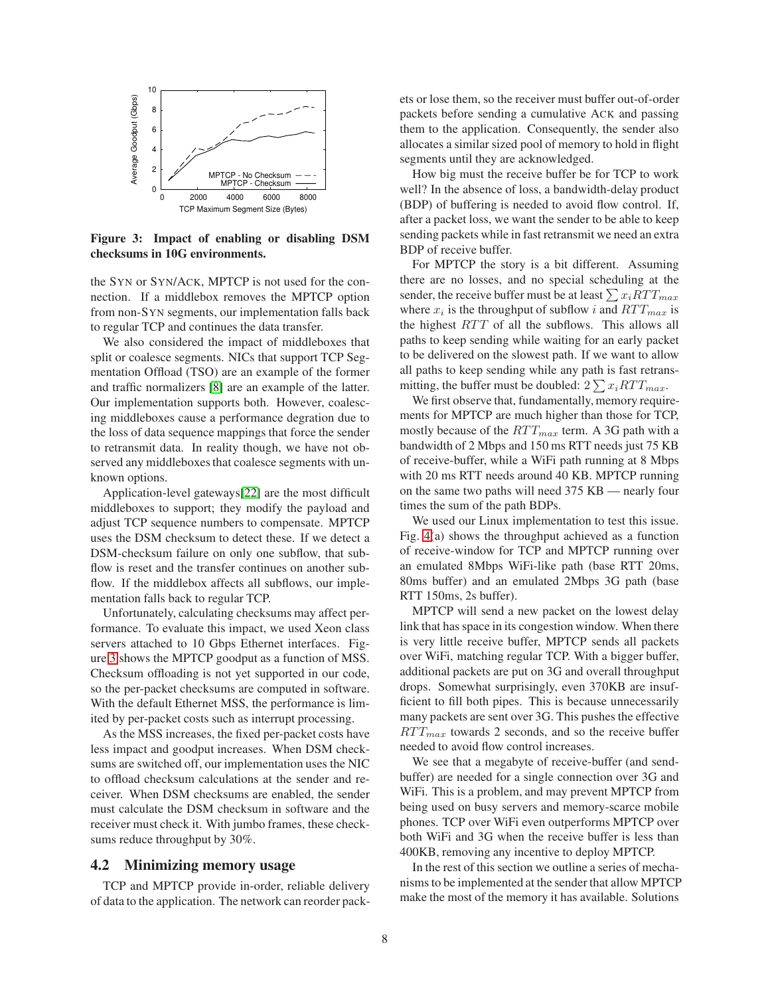

<span id="page-7-0"></span>**Figure 3: Impact of enabling or disabling DSM checksums in 10G environments.**

the SYN or SYN/ACK, MPTCP is not used for the connection. If a middlebox removes the MPTCP option from non-SYN segments, our implementation falls back to regular TCP and continues the data transfer.

We also considered the impact of middleboxes that split or coalesce segments. NICs that support TCP Segmentation Offload (TSO) are an example of the former and traffic normalizers [\[8\]](#page-13-11) are an example of the latter. Our implementation supports both. However, coalescing middleboxes cause a performance degration due to the loss of data sequence mappings that force the sender to retransmit data. In reality though, we have not observed any middleboxes that coalesce segments with unknown options.

Application-level gateways[\[22\]](#page-13-14) are the most difficult middleboxes to support; they modify the payload and adjust TCP sequence numbers to compensate. MPTCP uses the DSM checksum to detect these. If we detect a DSM-checksum failure on only one subflow, that subflow is reset and the transfer continues on another subflow. If the middlebox affects all subflows, our implementation falls back to regular TCP.

Unfortunately, calculating checksums may affect performance. To evaluate this impact, we used Xeon class servers attached to 10 Gbps Ethernet interfaces. Figure [3](#page-7-0) shows the MPTCP goodput as a function of MSS. Checksum offloading is not yet supported in our code, so the per-packet checksums are computed in software. With the default Ethernet MSS, the performance is limited by per-packet costs such as interrupt processing.

As the MSS increases, the fixed per-packet costs have less impact and goodput increases. When DSM checksums are switched off, our implementation uses the NIC to offload checksum calculations at the sender and receiver. When DSM checksums are enabled, the sender must calculate the DSM checksum in software and the receiver must check it. With jumbo frames, these checksums reduce throughput by 30%.

#### **4.2 Minimizing memory usage**

TCP and MPTCP provide in-order, reliable delivery of data to the application. The network can reorder pack-

ets or lose them, so the receiver must buffer out-of-order packets before sending a cumulative ACK and passing them to the application. Consequently, the sender also allocates a similar sized pool of memory to hold in flight segments until they are acknowledged.

How big must the receive buffer be for TCP to work well? In the absence of loss, a bandwidth-delay product (BDP) of buffering is needed to avoid flow control. If, after a packet loss, we want the sender to be able to keep sending packets while in fast retransmit we need an extra BDP of receive buffer.

For MPTCP the story is a bit different. Assuming there are no losses, and no special scheduling at the sender, the receive buffer must be at least  $\sum x_i RTT_{max}$ where  $x_i$  is the throughput of subflow i and  $RTT_{max}$  is the highest  $RTT$  of all the subflows. This allows all paths to keep sending while waiting for an early packet to be delivered on the slowest path. If we want to allow all paths to keep sending while any path is fast retransmitting, the buffer must be doubled:  $2\sum x_i RTT_{max}$ .

We first observe that, fundamentally, memory requirements for MPTCP are much higher than those for TCP, mostly because of the  $RTT_{max}$  term. A 3G path with a bandwidth of 2 Mbps and 150 ms RTT needs just 75 KB of receive-buffer, while a WiFi path running at 8 Mbps with 20 ms RTT needs around 40 KB. MPTCP running on the same two paths will need 375 KB — nearly four times the sum of the path BDPs.

We used our Linux implementation to test this issue. Fig. [4\(](#page-8-0)a) shows the throughput achieved as a function of receive-window for TCP and MPTCP running over an emulated 8Mbps WiFi-like path (base RTT 20ms, 80ms buffer) and an emulated 2Mbps 3G path (base RTT 150ms, 2s buffer).

MPTCP will send a new packet on the lowest delay link that has space in its congestion window. When there is very little receive buffer, MPTCP sends all packets over WiFi, matching regular TCP. With a bigger buffer, additional packets are put on 3G and overall throughput drops. Somewhat surprisingly, even 370KB are insufficient to fill both pipes. This is because unnecessarily many packets are sent over 3G. This pushes the effective  $RTT_{max}$  towards 2 seconds, and so the receive buffer needed to avoid flow control increases.

We see that a megabyte of receive-buffer (and sendbuffer) are needed for a single connection over 3G and WiFi. This is a problem, and may prevent MPTCP from being used on busy servers and memory-scarce mobile phones. TCP over WiFi even outperforms MPTCP over both WiFi and 3G when the receive buffer is less than 400KB, removing any incentive to deploy MPTCP.

In the rest of this section we outline a series of mechanisms to be implemented at the sender that allow MPTCP make the most of the memory it has available. Solutions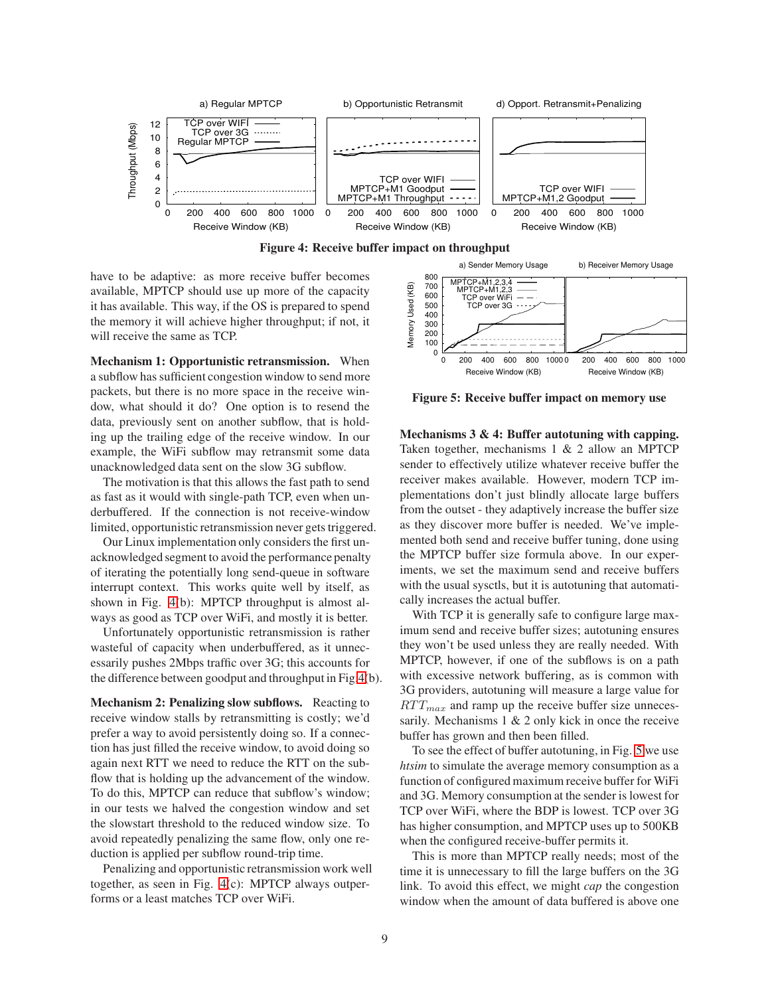

<span id="page-8-0"></span>

have to be adaptive: as more receive buffer becomes available, MPTCP should use up more of the capacity it has available. This way, if the OS is prepared to spend the memory it will achieve higher throughput; if not, it will receive the same as TCP.

**Mechanism 1: Opportunistic retransmission.** When a subflow has sufficient congestion window to send more packets, but there is no more space in the receive window, what should it do? One option is to resend the data, previously sent on another subflow, that is holding up the trailing edge of the receive window. In our example, the WiFi subflow may retransmit some data unacknowledged data sent on the slow 3G subflow.

The motivation is that this allows the fast path to send as fast as it would with single-path TCP, even when underbuffered. If the connection is not receive-window limited, opportunistic retransmission never gets triggered.

Our Linux implementation only considers the first unacknowledged segment to avoid the performance penalty of iterating the potentially long send-queue in software interrupt context. This works quite well by itself, as shown in Fig. [4\(](#page-8-0)b): MPTCP throughput is almost always as good as TCP over WiFi, and mostly it is better.

Unfortunately opportunistic retransmission is rather wasteful of capacity when underbuffered, as it unnecessarily pushes 2Mbps traffic over 3G; this accounts for the difference between goodput and throughput in Fig[.4\(](#page-8-0)b).

**Mechanism 2: Penalizing slow subflows.** Reacting to receive window stalls by retransmitting is costly; we'd prefer a way to avoid persistently doing so. If a connection has just filled the receive window, to avoid doing so again next RTT we need to reduce the RTT on the subflow that is holding up the advancement of the window. To do this, MPTCP can reduce that subflow's window; in our tests we halved the congestion window and set the slowstart threshold to the reduced window size. To avoid repeatedly penalizing the same flow, only one reduction is applied per subflow round-trip time.

Penalizing and opportunistic retransmission work well together, as seen in Fig. [4\(](#page-8-0)c): MPTCP always outperforms or a least matches TCP over WiFi.



<span id="page-8-1"></span>**Figure 5: Receive buffer impact on memory use**

**Mechanisms 3 & 4: Buffer autotuning with capping.** Taken together, mechanisms 1 & 2 allow an MPTCP sender to effectively utilize whatever receive buffer the receiver makes available. However, modern TCP implementations don't just blindly allocate large buffers from the outset - they adaptively increase the buffer size as they discover more buffer is needed. We've implemented both send and receive buffer tuning, done using the MPTCP buffer size formula above. In our experiments, we set the maximum send and receive buffers with the usual sysctls, but it is autotuning that automatically increases the actual buffer.

With TCP it is generally safe to configure large maximum send and receive buffer sizes; autotuning ensures they won't be used unless they are really needed. With MPTCP, however, if one of the subflows is on a path with excessive network buffering, as is common with 3G providers, autotuning will measure a large value for  $RTT_{max}$  and ramp up the receive buffer size unnecessarily. Mechanisms  $1 \& 2$  only kick in once the receive buffer has grown and then been filled.

To see the effect of buffer autotuning, in Fig. [5](#page-8-1) we use *htsim* to simulate the average memory consumption as a function of configured maximum receive buffer for WiFi and 3G. Memory consumption at the sender is lowest for TCP over WiFi, where the BDP is lowest. TCP over 3G has higher consumption, and MPTCP uses up to 500KB when the configured receive-buffer permits it.

This is more than MPTCP really needs; most of the time it is unnecessary to fill the large buffers on the 3G link. To avoid this effect, we might *cap* the congestion window when the amount of data buffered is above one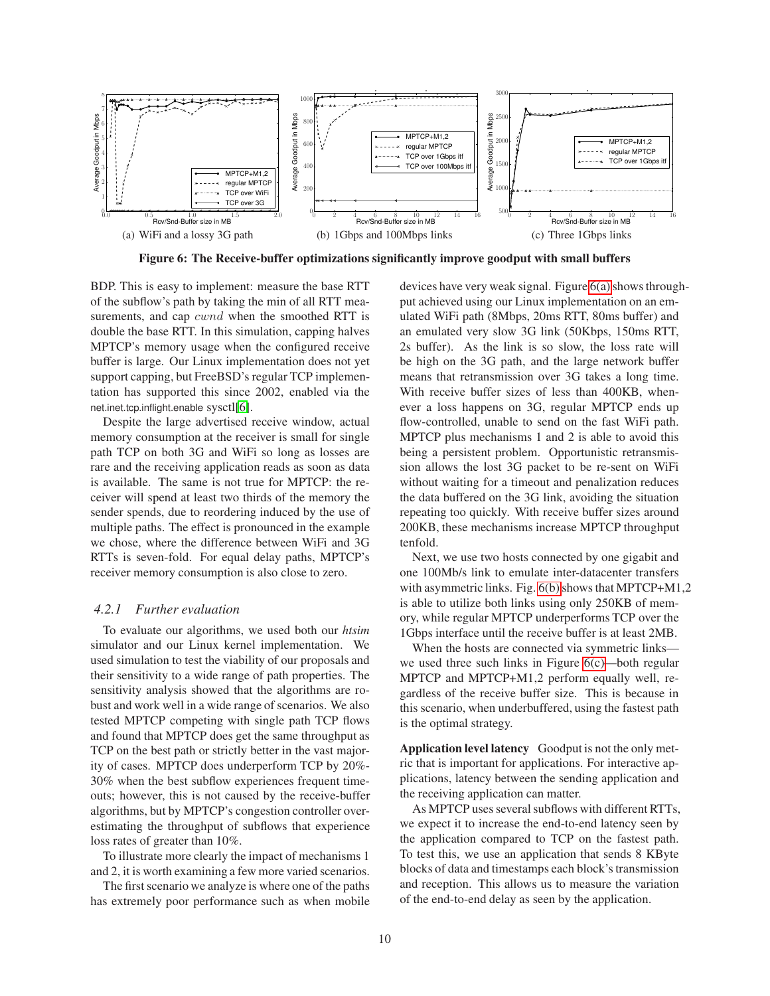<span id="page-9-0"></span>

**Figure 6: The Receive-buffer optimizations significantly improve goodput with small buffers**

BDP. This is easy to implement: measure the base RTT of the subflow's path by taking the min of all RTT measurements, and cap *cwnd* when the smoothed RTT is double the base RTT. In this simulation, capping halves MPTCP's memory usage when the configured receive buffer is large. Our Linux implementation does not yet support capping, but FreeBSD's regular TCP implementation has supported this since 2002, enabled via the net.inet.tcp.inflight.enable sysctl[\[6\]](#page-13-15).

Despite the large advertised receive window, actual memory consumption at the receiver is small for single path TCP on both 3G and WiFi so long as losses are rare and the receiving application reads as soon as data is available. The same is not true for MPTCP: the receiver will spend at least two thirds of the memory the sender spends, due to reordering induced by the use of multiple paths. The effect is pronounced in the example we chose, where the difference between WiFi and 3G RTTs is seven-fold. For equal delay paths, MPTCP's receiver memory consumption is also close to zero.

# *4.2.1 Further evaluation*

To evaluate our algorithms, we used both our *htsim* simulator and our Linux kernel implementation. We used simulation to test the viability of our proposals and their sensitivity to a wide range of path properties. The sensitivity analysis showed that the algorithms are robust and work well in a wide range of scenarios. We also tested MPTCP competing with single path TCP flows and found that MPTCP does get the same throughput as TCP on the best path or strictly better in the vast majority of cases. MPTCP does underperform TCP by 20%- 30% when the best subflow experiences frequent timeouts; however, this is not caused by the receive-buffer algorithms, but by MPTCP's congestion controller overestimating the throughput of subflows that experience loss rates of greater than 10%.

To illustrate more clearly the impact of mechanisms 1 and 2, it is worth examining a few more varied scenarios.

The first scenario we analyze is where one of the paths has extremely poor performance such as when mobile <span id="page-9-2"></span><span id="page-9-1"></span>devices have very weak signal. Figure [6\(a\)](#page-9-0) shows throughput achieved using our Linux implementation on an emulated WiFi path (8Mbps, 20ms RTT, 80ms buffer) and an emulated very slow 3G link (50Kbps, 150ms RTT, 2s buffer). As the link is so slow, the loss rate will be high on the 3G path, and the large network buffer means that retransmission over 3G takes a long time. With receive buffer sizes of less than 400KB, whenever a loss happens on 3G, regular MPTCP ends up flow-controlled, unable to send on the fast WiFi path. MPTCP plus mechanisms 1 and 2 is able to avoid this being a persistent problem. Opportunistic retransmission allows the lost 3G packet to be re-sent on WiFi without waiting for a timeout and penalization reduces the data buffered on the 3G link, avoiding the situation repeating too quickly. With receive buffer sizes around 200KB, these mechanisms increase MPTCP throughput tenfold.

Next, we use two hosts connected by one gigabit and one 100Mb/s link to emulate inter-datacenter transfers with asymmetric links. Fig. [6\(b\)](#page-9-1) shows that MPTCP+M1,2 is able to utilize both links using only 250KB of memory, while regular MPTCP underperforms TCP over the 1Gbps interface until the receive buffer is at least 2MB.

When the hosts are connected via symmetric links we used three such links in Figure [6\(c\)—](#page-9-2)both regular MPTCP and MPTCP+M1,2 perform equally well, regardless of the receive buffer size. This is because in this scenario, when underbuffered, using the fastest path is the optimal strategy.

**Application level latency** Goodput is not the only metric that is important for applications. For interactive applications, latency between the sending application and the receiving application can matter.

As MPTCP uses several subflows with different RTTs, we expect it to increase the end-to-end latency seen by the application compared to TCP on the fastest path. To test this, we use an application that sends 8 KByte blocks of data and timestamps each block's transmission and reception. This allows us to measure the variation of the end-to-end delay as seen by the application.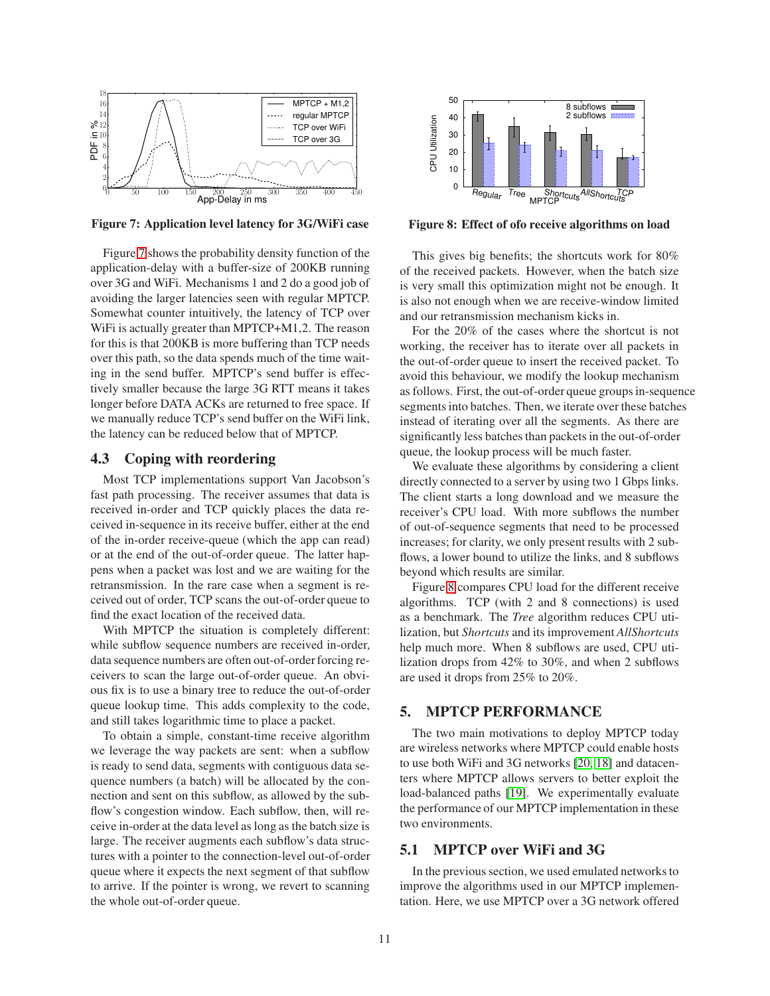

<span id="page-10-0"></span>**Figure 7: Application level latency for 3G/WiFi case**

Figure [7](#page-10-0) shows the probability density function of the application-delay with a buffer-size of 200KB running over 3G and WiFi. Mechanisms 1 and 2 do a good job of avoiding the larger latencies seen with regular MPTCP. Somewhat counter intuitively, the latency of TCP over WiFi is actually greater than MPTCP+M1,2. The reason for this is that 200KB is more buffering than TCP needs over this path, so the data spends much of the time waiting in the send buffer. MPTCP's send buffer is effectively smaller because the large 3G RTT means it takes longer before DATA ACKs are returned to free space. If we manually reduce TCP's send buffer on the WiFi link, the latency can be reduced below that of MPTCP.

# **4.3 Coping with reordering**

Most TCP implementations support Van Jacobson's fast path processing. The receiver assumes that data is received in-order and TCP quickly places the data received in-sequence in its receive buffer, either at the end of the in-order receive-queue (which the app can read) or at the end of the out-of-order queue. The latter happens when a packet was lost and we are waiting for the retransmission. In the rare case when a segment is received out of order, TCP scans the out-of-order queue to find the exact location of the received data.

With MPTCP the situation is completely different: while subflow sequence numbers are received in-order, data sequence numbers are often out-of-order forcing receivers to scan the large out-of-order queue. An obvious fix is to use a binary tree to reduce the out-of-order queue lookup time. This adds complexity to the code, and still takes logarithmic time to place a packet.

To obtain a simple, constant-time receive algorithm we leverage the way packets are sent: when a subflow is ready to send data, segments with contiguous data sequence numbers (a batch) will be allocated by the connection and sent on this subflow, as allowed by the subflow's congestion window. Each subflow, then, will receive in-order at the data level as long as the batch size is large. The receiver augments each subflow's data structures with a pointer to the connection-level out-of-order queue where it expects the next segment of that subflow to arrive. If the pointer is wrong, we revert to scanning the whole out-of-order queue.



<span id="page-10-1"></span>**Figure 8: Effect of ofo receive algorithms on load**

This gives big benefits; the shortcuts work for 80% of the received packets. However, when the batch size is very small this optimization might not be enough. It is also not enough when we are receive-window limited and our retransmission mechanism kicks in.

For the 20% of the cases where the shortcut is not working, the receiver has to iterate over all packets in the out-of-order queue to insert the received packet. To avoid this behaviour, we modify the lookup mechanism as follows. First, the out-of-order queue groups in-sequence segments into batches. Then, we iterate over these batches instead of iterating over all the segments. As there are significantly less batches than packets in the out-of-order queue, the lookup process will be much faster.

We evaluate these algorithms by considering a client directly connected to a server by using two 1 Gbps links. The client starts a long download and we measure the receiver's CPU load. With more subflows the number of out-of-sequence segments that need to be processed increases; for clarity, we only present results with 2 subflows, a lower bound to utilize the links, and 8 subflows beyond which results are similar.

Figure [8](#page-10-1) compares CPU load for the different receive algorithms. TCP (with 2 and 8 connections) is used as a benchmark. The *Tree* algorithm reduces CPU utilization, but *Shortcuts* and its improvement *AllShortcuts* help much more. When 8 subflows are used, CPU utilization drops from 42% to 30%, and when 2 subflows are used it drops from 25% to 20%.

# **5. MPTCP PERFORMANCE**

The two main motivations to deploy MPTCP today are wireless networks where MPTCP could enable hosts to use both WiFi and 3G networks [\[20,](#page-13-16) [18\]](#page-13-17) and datacenters where MPTCP allows servers to better exploit the load-balanced paths [\[19\]](#page-13-7). We experimentally evaluate the performance of our MPTCP implementation in these two environments.

# **5.1 MPTCP over WiFi and 3G**

In the previous section, we used emulated networks to improve the algorithms used in our MPTCP implementation. Here, we use MPTCP over a 3G network offered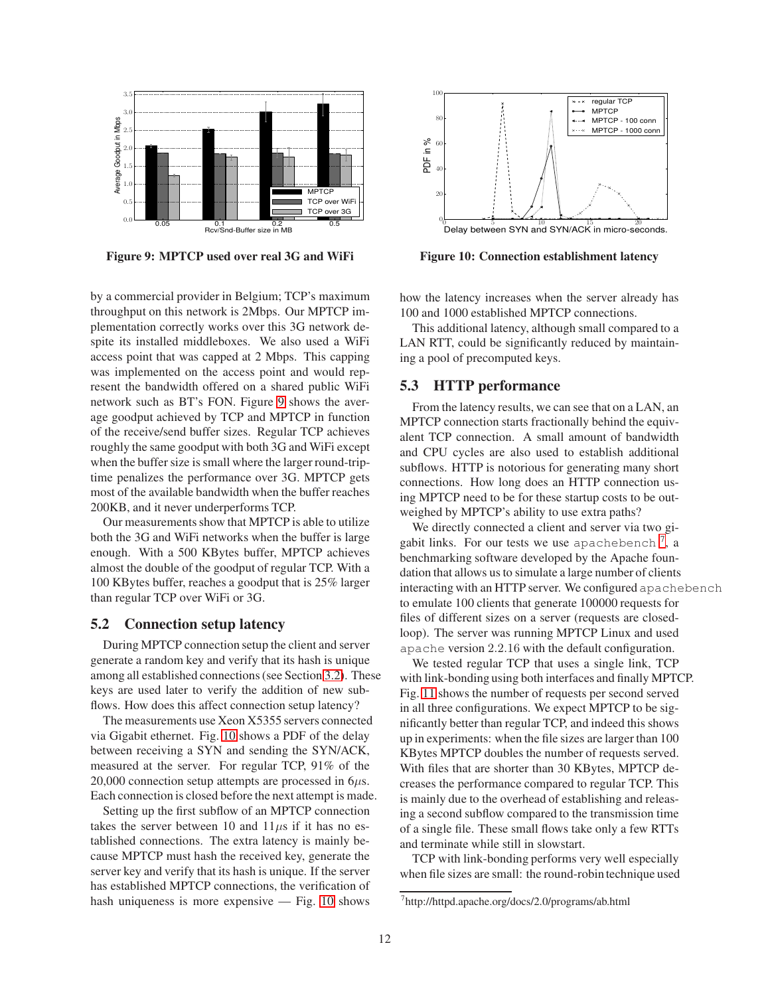

<span id="page-11-0"></span>**Figure 9: MPTCP used over real 3G and WiFi**

by a commercial provider in Belgium; TCP's maximum throughput on this network is 2Mbps. Our MPTCP implementation correctly works over this 3G network despite its installed middleboxes. We also used a WiFi access point that was capped at 2 Mbps. This capping was implemented on the access point and would represent the bandwidth offered on a shared public WiFi network such as BT's FON. Figure [9](#page-11-0) shows the average goodput achieved by TCP and MPTCP in function of the receive/send buffer sizes. Regular TCP achieves roughly the same goodput with both 3G and WiFi except when the buffer size is small where the larger round-triptime penalizes the performance over 3G. MPTCP gets most of the available bandwidth when the buffer reaches 200KB, and it never underperforms TCP.

Our measurements show that MPTCP is able to utilize both the 3G and WiFi networks when the buffer is large enough. With a 500 KBytes buffer, MPTCP achieves almost the double of the goodput of regular TCP. With a 100 KBytes buffer, reaches a goodput that is 25% larger than regular TCP over WiFi or 3G.

# **5.2 Connection setup latency**

During MPTCP connection setup the client and server generate a random key and verify that its hash is unique among all established connections (see Section [3.2\)](#page-2-0). These keys are used later to verify the addition of new subflows. How does this affect connection setup latency?

The measurements use Xeon X5355 servers connected via Gigabit ethernet. Fig. [10](#page-11-1) shows a PDF of the delay between receiving a SYN and sending the SYN/ACK, measured at the server. For regular TCP, 91% of the 20,000 connection setup attempts are processed in  $6\mu$ s. Each connection is closed before the next attempt is made.

Setting up the first subflow of an MPTCP connection takes the server between 10 and  $11\mu s$  if it has no established connections. The extra latency is mainly because MPTCP must hash the received key, generate the server key and verify that its hash is unique. If the server has established MPTCP connections, the verification of hash uniqueness is more expensive — Fig. [10](#page-11-1) shows



<span id="page-11-1"></span>**Figure 10: Connection establishment latency**

how the latency increases when the server already has 100 and 1000 established MPTCP connections.

This additional latency, although small compared to a LAN RTT, could be significantly reduced by maintaining a pool of precomputed keys.

# **5.3 HTTP performance**

From the latency results, we can see that on a LAN, an MPTCP connection starts fractionally behind the equivalent TCP connection. A small amount of bandwidth and CPU cycles are also used to establish additional subflows. HTTP is notorious for generating many short connections. How long does an HTTP connection using MPTCP need to be for these startup costs to be outweighed by MPTCP's ability to use extra paths?

We directly connected a client and server via two gigabit links. For our tests we use apachebench  $^7$  $^7$ , a benchmarking software developed by the Apache foundation that allows us to simulate a large number of clients interacting with an HTTP server. We configured apachebench to emulate 100 clients that generate 100000 requests for files of different sizes on a server (requests are closedloop). The server was running MPTCP Linux and used apache version 2.2.16 with the default configuration.

We tested regular TCP that uses a single link, TCP with link-bonding using both interfaces and finally MPTCP. Fig. [11](#page-12-0) shows the number of requests per second served in all three configurations. We expect MPTCP to be significantly better than regular TCP, and indeed this shows up in experiments: when the file sizes are larger than 100 KBytes MPTCP doubles the number of requests served. With files that are shorter than 30 KBytes, MPTCP decreases the performance compared to regular TCP. This is mainly due to the overhead of establishing and releasing a second subflow compared to the transmission time of a single file. These small flows take only a few RTTs and terminate while still in slowstart.

TCP with link-bonding performs very well especially when file sizes are small: the round-robin technique used

<span id="page-11-2"></span><sup>7</sup> http://httpd.apache.org/docs/2.0/programs/ab.html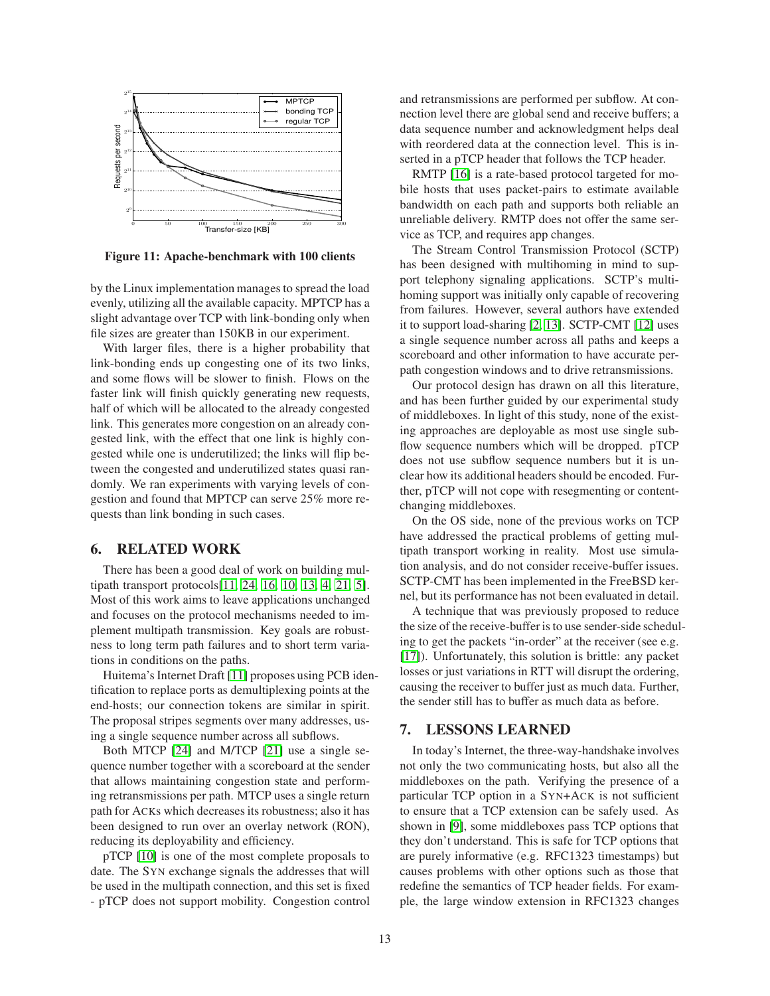

<span id="page-12-0"></span>**Figure 11: Apache-benchmark with 100 clients**

by the Linux implementation manages to spread the load evenly, utilizing all the available capacity. MPTCP has a slight advantage over TCP with link-bonding only when file sizes are greater than 150KB in our experiment.

With larger files, there is a higher probability that link-bonding ends up congesting one of its two links, and some flows will be slower to finish. Flows on the faster link will finish quickly generating new requests, half of which will be allocated to the already congested link. This generates more congestion on an already congested link, with the effect that one link is highly congested while one is underutilized; the links will flip between the congested and underutilized states quasi randomly. We ran experiments with varying levels of congestion and found that MPTCP can serve 25% more requests than link bonding in such cases.

# **6. RELATED WORK**

There has been a good deal of work on building multipath transport protocols[\[11,](#page-13-2) [24,](#page-13-3) [16,](#page-13-18) [10,](#page-13-6) [13,](#page-13-19) [4,](#page-13-5) [21,](#page-13-20) [5\]](#page-13-0). Most of this work aims to leave applications unchanged and focuses on the protocol mechanisms needed to implement multipath transmission. Key goals are robustness to long term path failures and to short term variations in conditions on the paths.

Huitema's Internet Draft [\[11\]](#page-13-2) proposes using PCB identification to replace ports as demultiplexing points at the end-hosts; our connection tokens are similar in spirit. The proposal stripes segments over many addresses, using a single sequence number across all subflows.

Both MTCP [\[24\]](#page-13-3) and M/TCP [\[21\]](#page-13-20) use a single sequence number together with a scoreboard at the sender that allows maintaining congestion state and performing retransmissions per path. MTCP uses a single return path for ACKs which decreases its robustness; also it has been designed to run over an overlay network (RON), reducing its deployability and efficiency.

pTCP [\[10\]](#page-13-6) is one of the most complete proposals to date. The SYN exchange signals the addresses that will be used in the multipath connection, and this set is fixed - pTCP does not support mobility. Congestion control and retransmissions are performed per subflow. At connection level there are global send and receive buffers; a data sequence number and acknowledgment helps deal with reordered data at the connection level. This is inserted in a pTCP header that follows the TCP header.

RMTP [\[16\]](#page-13-18) is a rate-based protocol targeted for mobile hosts that uses packet-pairs to estimate available bandwidth on each path and supports both reliable an unreliable delivery. RMTP does not offer the same service as TCP, and requires app changes.

The Stream Control Transmission Protocol (SCTP) has been designed with multihoming in mind to support telephony signaling applications. SCTP's multihoming support was initially only capable of recovering from failures. However, several authors have extended it to support load-sharing [\[2,](#page-13-21) [13\]](#page-13-19). SCTP-CMT [\[12\]](#page-13-22) uses a single sequence number across all paths and keeps a scoreboard and other information to have accurate perpath congestion windows and to drive retransmissions.

Our protocol design has drawn on all this literature, and has been further guided by our experimental study of middleboxes. In light of this study, none of the existing approaches are deployable as most use single subflow sequence numbers which will be dropped. pTCP does not use subflow sequence numbers but it is unclear how its additional headers should be encoded. Further, pTCP will not cope with resegmenting or contentchanging middleboxes.

On the OS side, none of the previous works on TCP have addressed the practical problems of getting multipath transport working in reality. Most use simulation analysis, and do not consider receive-buffer issues. SCTP-CMT has been implemented in the FreeBSD kernel, but its performance has not been evaluated in detail.

A technique that was previously proposed to reduce the size of the receive-buffer is to use sender-side scheduling to get the packets "in-order" at the receiver (see e.g. [\[17\]](#page-13-23)). Unfortunately, this solution is brittle: any packet losses or just variations in RTT will disrupt the ordering, causing the receiver to buffer just as much data. Further, the sender still has to buffer as much data as before.

# **7. LESSONS LEARNED**

In today's Internet, the three-way-handshake involves not only the two communicating hosts, but also all the middleboxes on the path. Verifying the presence of a particular TCP option in a SYN+ACK is not sufficient to ensure that a TCP extension can be safely used. As shown in [\[9\]](#page-13-9), some middleboxes pass TCP options that they don't understand. This is safe for TCP options that are purely informative (e.g. RFC1323 timestamps) but causes problems with other options such as those that redefine the semantics of TCP header fields. For example, the large window extension in RFC1323 changes